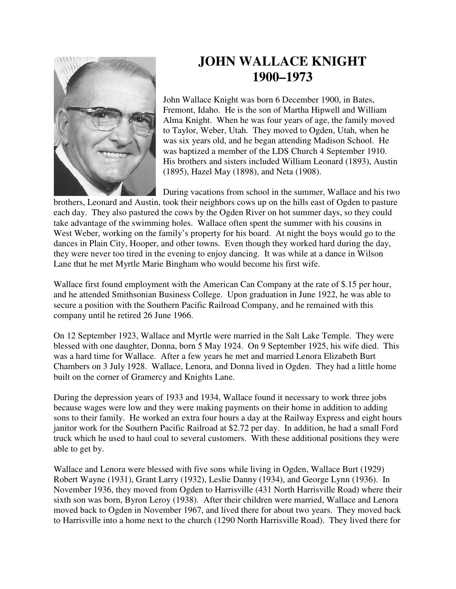

## **JOHN WALLACE KNIGHT 1900–1973**

John Wallace Knight was born 6 December 1900, in Bates, Fremont, Idaho. He is the son of Martha Hipwell and William Alma Knight. When he was four years of age, the family moved to Taylor, Weber, Utah. They moved to Ogden, Utah, when he was six years old, and he began attending Madison School. He was baptized a member of the LDS Church 4 September 1910. His brothers and sisters included William Leonard (1893), Austin (1895), Hazel May (1898), and Neta (1908).

During vacations from school in the summer, Wallace and his two brothers, Leonard and Austin, took their neighbors cows up on the hills east of Ogden to pasture each day. They also pastured the cows by the Ogden River on hot summer days, so they could take advantage of the swimming holes. Wallace often spent the summer with his cousins in West Weber, working on the family's property for his board. At night the boys would go to the dances in Plain City, Hooper, and other towns. Even though they worked hard during the day, they were never too tired in the evening to enjoy dancing. It was while at a dance in Wilson Lane that he met Myrtle Marie Bingham who would become his first wife.

Wallace first found employment with the American Can Company at the rate of \$.15 per hour, and he attended Smithsonian Business College. Upon graduation in June 1922, he was able to secure a position with the Southern Pacific Railroad Company, and he remained with this company until he retired 26 June 1966.

On 12 September 1923, Wallace and Myrtle were married in the Salt Lake Temple. They were blessed with one daughter, Donna, born 5 May 1924. On 9 September 1925, his wife died. This was a hard time for Wallace. After a few years he met and married Lenora Elizabeth Burt Chambers on 3 July 1928. Wallace, Lenora, and Donna lived in Ogden. They had a little home built on the corner of Gramercy and Knights Lane.

During the depression years of 1933 and 1934, Wallace found it necessary to work three jobs because wages were low and they were making payments on their home in addition to adding sons to their family. He worked an extra four hours a day at the Railway Express and eight hours janitor work for the Southern Pacific Railroad at \$2.72 per day. In addition, he had a small Ford truck which he used to haul coal to several customers. With these additional positions they were able to get by.

Wallace and Lenora were blessed with five sons while living in Ogden, Wallace Burt (1929) Robert Wayne (1931), Grant Larry (1932), Leslie Danny (1934), and George Lynn (1936). In November 1936, they moved from Ogden to Harrisville (431 North Harrisville Road) where their sixth son was born, Byron Leroy (1938). After their children were married, Wallace and Lenora moved back to Ogden in November 1967, and lived there for about two years. They moved back to Harrisville into a home next to the church (1290 North Harrisville Road). They lived there for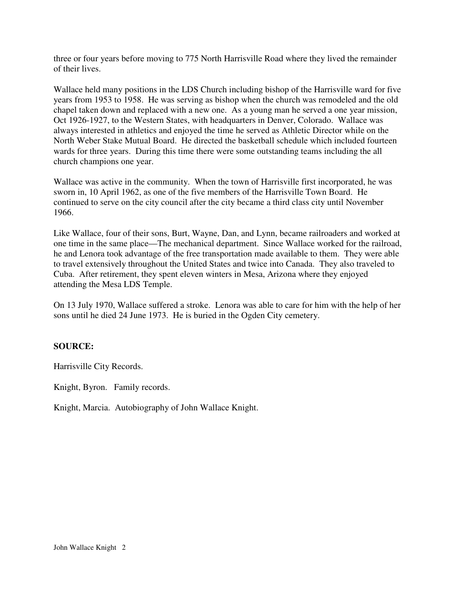three or four years before moving to 775 North Harrisville Road where they lived the remainder of their lives.

Wallace held many positions in the LDS Church including bishop of the Harrisville ward for five years from 1953 to 1958. He was serving as bishop when the church was remodeled and the old chapel taken down and replaced with a new one. As a young man he served a one year mission, Oct 1926-1927, to the Western States, with headquarters in Denver, Colorado. Wallace was always interested in athletics and enjoyed the time he served as Athletic Director while on the North Weber Stake Mutual Board. He directed the basketball schedule which included fourteen wards for three years. During this time there were some outstanding teams including the all church champions one year.

Wallace was active in the community. When the town of Harrisville first incorporated, he was sworn in, 10 April 1962, as one of the five members of the Harrisville Town Board. He continued to serve on the city council after the city became a third class city until November 1966.

Like Wallace, four of their sons, Burt, Wayne, Dan, and Lynn, became railroaders and worked at one time in the same place—The mechanical department. Since Wallace worked for the railroad, he and Lenora took advantage of the free transportation made available to them. They were able to travel extensively throughout the United States and twice into Canada. They also traveled to Cuba. After retirement, they spent eleven winters in Mesa, Arizona where they enjoyed attending the Mesa LDS Temple.

On 13 July 1970, Wallace suffered a stroke. Lenora was able to care for him with the help of her sons until he died 24 June 1973. He is buried in the Ogden City cemetery.

## **SOURCE:**

Harrisville City Records.

Knight, Byron. Family records.

Knight, Marcia. Autobiography of John Wallace Knight.